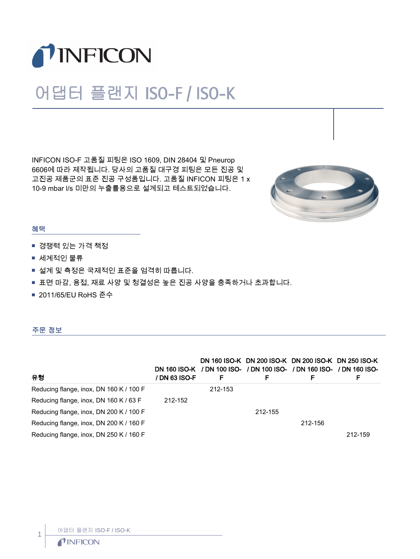

## 어댑터 플랜지 ISO-F / ISO-K

INFICON ISO-F 고품질 피팅은 ISO 1609, DIN 28404 및 Pneurop 6606에 따라 제작됩니다. 당사의 고품질 대구경 피팅은 모든 진공 및 고진공 제품군의 표준 진공 구성품입니다. 고품질 INFICON 피팅은 1 x 10-9 mbar l/s 미만의 누출률용으로 설계되고 테스트되었습니다.



## 혜택

- 경쟁력 있는 가격 책정
- 세계적인 물류
- 설계 및 측정은 국제적인 표준을 엄격히 따릅니다.
- 표면 마감, 용접, 재료 사양 및 청결성은 높은 진공 사양을 충족하거나 초과합니다.
- 2011/65/EU RoHS 준수

## 주문 정보

| 유형                                      | DN 160 ISO-K<br>/ DN 63 ISO-F | F       | DN 160 ISO-K DN 200 ISO-K DN 200 ISO-K DN 250 ISO-K<br>/ DN 100 ISO- / DN 100 ISO- / DN 160 ISO- / DN 160 ISO-<br>F | F       | F       |
|-----------------------------------------|-------------------------------|---------|---------------------------------------------------------------------------------------------------------------------|---------|---------|
| Reducing flange, inox, DN 160 K / 100 F |                               | 212-153 |                                                                                                                     |         |         |
| Reducing flange, inox, DN 160 K / 63 F  | 212-152                       |         |                                                                                                                     |         |         |
| Reducing flange, inox, DN 200 K / 100 F |                               |         | 212-155                                                                                                             |         |         |
| Reducing flange, inox, DN 200 K / 160 F |                               |         |                                                                                                                     | 212-156 |         |
| Reducing flange, inox, DN 250 K / 160 F |                               |         |                                                                                                                     |         | 212-159 |